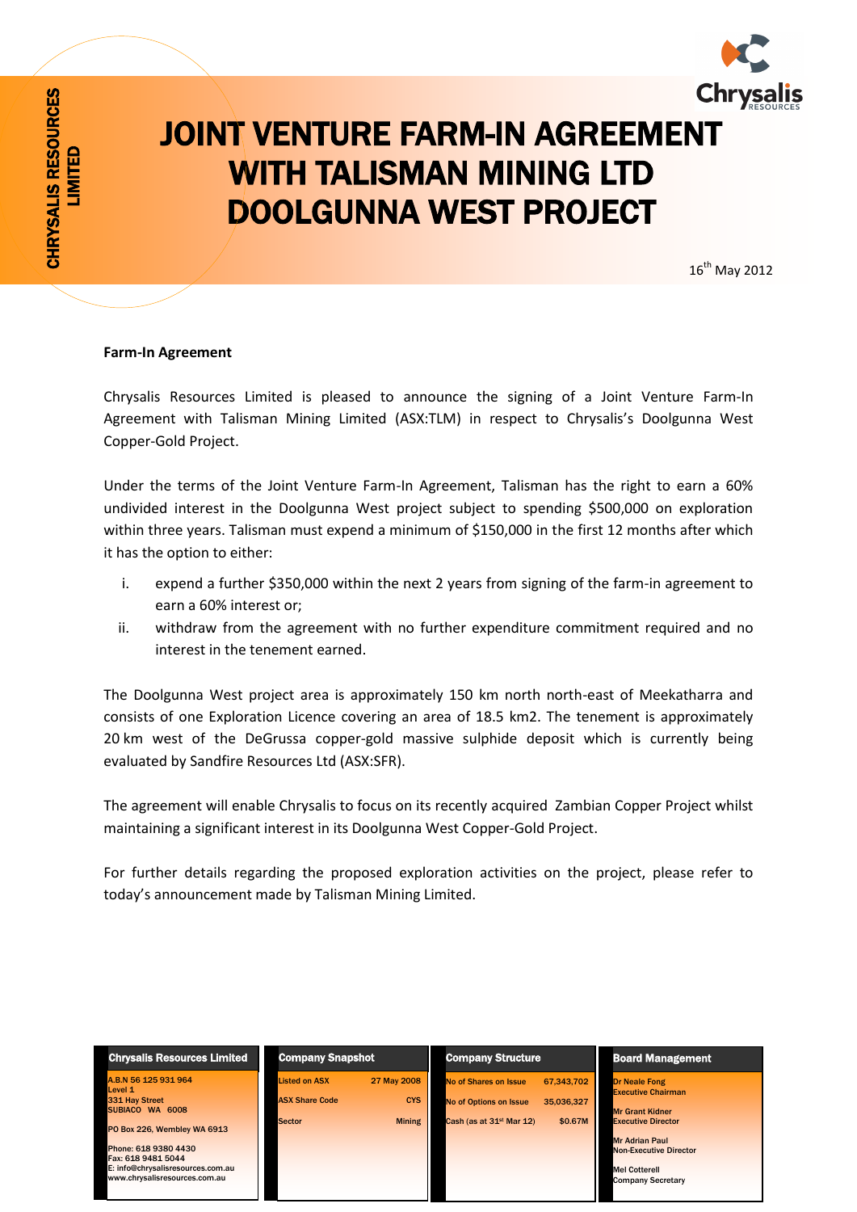

## JOINT VENTURE FARM-IN AGREEMENT WITH TALISMAN MINING LTD DOOLGUNNA WEST PROJECT

16 th May 2012

## **Farm-In Agreement**

CHRYSALIS RESOURCES LIMITED

CHRYSALIS RESOURCES

Chrysalis Resources Limited is pleased to announce the signing of a Joint Venture Farm-In Agreement with Talisman Mining Limited (ASX:TLM) in respect to Chrysalis's Doolgunna West Copper-Gold Project.

Under the terms of the Joint Venture Farm-In Agreement, Talisman has the right to earn a 60% undivided interest in the Doolgunna West project subject to spending \$500,000 on exploration within three years. Talisman must expend a minimum of \$150,000 in the first 12 months after which it has the option to either:

- i. expend a further \$350,000 within the next 2 years from signing of the farm-in agreement to earn a 60% interest or;
- ii. withdraw from the agreement with no further expenditure commitment required and no interest in the tenement earned.

The Doolgunna West project area is approximately 150 km north north-east of Meekatharra and consists of one Exploration Licence covering an area of 18.5 km2. The tenement is approximately 20 km west of the DeGrussa copper-gold massive sulphide deposit which is currently being evaluated by Sandfire Resources Ltd (ASX:SFR).

The agreement will enable Chrysalis to focus on its recently acquired Zambian Copper Project whilst maintaining a significant interest in its Doolgunna West Copper-Gold Project.

For further details regarding the proposed exploration activities on the project, please refer to today's announcement made by Talisman Mining Limited.

| <b>Chrysalis Resources Limited</b>                                   | <b>Company Snapshot</b>                       |                           | <b>Company Structure</b>                               |                          | <b>Board Management</b>                                                     |  |
|----------------------------------------------------------------------|-----------------------------------------------|---------------------------|--------------------------------------------------------|--------------------------|-----------------------------------------------------------------------------|--|
| A.B.N 56 125 931 964<br>Level 1<br>331 Hay Street<br>SUBIACO WA 6008 | <b>Listed on ASX</b><br><b>ASX Share Code</b> | 27 May 2008<br><b>CYS</b> | No of Shares on Issue<br><b>No of Options on Issue</b> | 67.343.702<br>35.036.327 | <b>Dr Neale Fong</b><br><b>Executive Chairman</b><br><b>Mr Grant Kidner</b> |  |
| PO Box 226, Wembley WA 6913                                          | <b>Sector</b>                                 | <b>Mining</b>             | Cash (as at 31 <sup>st</sup> Mar 12)                   | \$0.67M                  | <b>Executive Director</b>                                                   |  |
| Phone: 618 9380 4430<br>Fax: 618 9481 5044                           |                                               |                           |                                                        |                          | <b>Mr Adrian Paul</b><br><b>Non-Executive Director</b>                      |  |
| E: info@chrysalisresources.com.au<br>www.chrysalisresources.com.au   |                                               |                           |                                                        |                          | <b>Mel Cotterell</b><br><b>Company Secretary</b>                            |  |